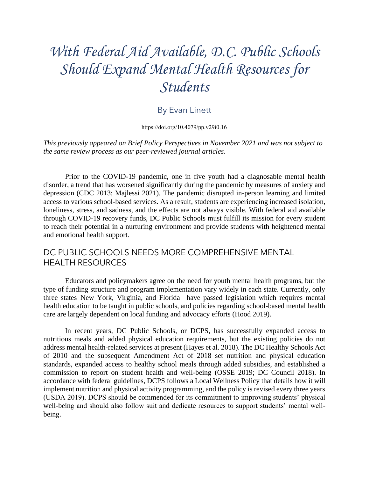# *With Federal Aid Available, D.C. Public Schools Should Expand Mental Health Resources for Students*

## By Evan Linett

[https://doi.org/10.4079/pp.v29i0.16](https://doi.org/10.4079/pp.v28i0.10.%20%206)

*This previously appeared on Brief Policy Perspectives in November 2021 and was not subject to the same review process as our peer-reviewed journal articles*.

 Prior to the COVID-19 pandemic, one in five youth had a diagnosable mental health depression (CDC 2013; Majlessi 2021). The pandemic disrupted in-person learning and limited through COVID-19 recovery funds, DC Public Schools must fulfill its mission for every student disorder, a trend that has worsened significantly during the pandemic by measures of anxiety and access to various school-based services. As a result, students are experiencing increased isolation, loneliness, stress, and sadness, and the effects are not always visible. With federal aid available to reach their potential in a nurturing environment and provide students with heightened mental and emotional health support.

## DC PUBLIC SCHOOLS NEEDS MORE COMPREHENSIVE MENTAL HEALTH RESOURCES

Educators and policymakers agree on the need for youth mental health programs, but the type of funding structure and program implementation vary widely in each state. Currently, only three states–New York, Virginia, and Florida– have passed legislation which requires mental health education to be taught in public schools, and policies regarding school-based mental health care are largely dependent on local funding and advocacy efforts (Hood 2019).

 address mental health-related services at present (Hayes et al. 2018). The DC Healthy Schools Act commission to report on student health and well-being (OSSE 2019; DC Council 2018). In accordance with federal guidelines, DCPS follows a Local Wellness Policy that details how it will implement nutrition and physical activity programming, and the policy is revised every three years (USDA 2019). DCPS should be commended for its commitment to improving students' physical In recent years, DC Public Schools, or DCPS, has successfully expanded access to nutritious meals and added physical education requirements, but the existing policies do not of 2010 and the subsequent Amendment Act of 2018 set nutrition and physical education standards, expanded access to healthy school meals through added subsidies, and established a well-being and should also follow suit and dedicate resources to support students' mental wellbeing.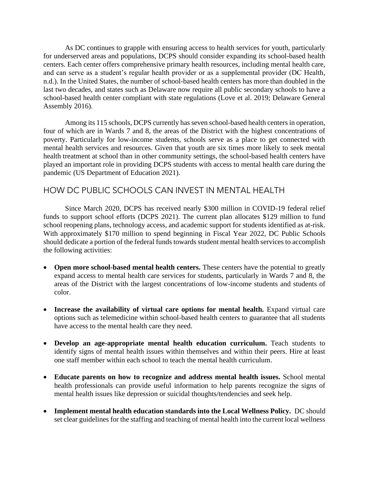for underserved areas and populations, DCPS should consider expanding its school-based health and can serve as a student's regular health provider or as a supplemental provider (DC Health, n.d.). In the United States, the number of school-based health centers has more than doubled in the last two decades, and states such as Delaware now require all public secondary schools to have a school-based health center compliant with state regulations (Love et al. 2019; Delaware General As DC continues to grapple with ensuring access to health services for youth, particularly centers. Each center offers comprehensive primary health resources, including mental health care, Assembly 2016).

 poverty. Particularly for low-income students, schools serve as a place to get connected with Among its 115 schools, DCPS currently has seven school-based health centers in operation, four of which are in Wards 7 and 8, the areas of the District with the highest concentrations of mental health services and resources. Given that youth are six times more likely to seek mental health treatment at school than in other community settings, the school-based health centers have played an important role in providing DCPS students with access to mental health care during the pandemic (US Department of Education 2021).

## HOW DC PUBLIC SCHOOLS CAN INVEST IN MENTAL HEALTH

 Since March 2020, DCPS has received nearly \$300 million in COVID-19 federal relief funds to support school efforts (DCPS 2021). The current plan allocates \$129 million to fund With approximately \$170 million to spend beginning in Fiscal Year 2022, DC Public Schools should dedicate a portion of the federal funds towards student mental health services to accomplish school reopening plans, technology access, and academic support for students identified as at-risk. the following activities:

- Open more school-based mental health centers. These centers have the potential to greatly expand access to mental health care services for students, particularly in Wards 7 and 8, the areas of the District with the largest concentrations of low-income students and students of color.
- Increase the availability of virtual care options for mental health. Expand virtual care options such as telemedicine within school-based health centers to guarantee that all students have access to the mental health care they need.
- **Develop an age-appropriate mental health education curriculum.** Teach students to identify signs of mental health issues within themselves and within their peers. Hire at least one staff member within each school to teach the mental health curriculum.
- **Educate parents on how to recognize and address mental health issues.** School mental health professionals can provide useful information to help parents recognize the signs of mental health issues like depression or suicidal thoughts/tendencies and seek help.
- **Implement mental health education standards into the Local Wellness Policy.** DC should set clear guidelines for the staffing and teaching of mental health into the current local wellness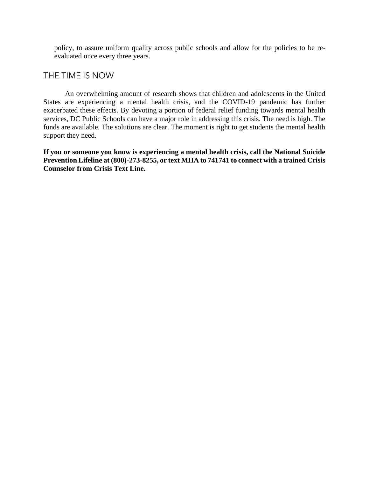policy, to assure uniform quality across public schools and allow for the policies to be reevaluated once every three years.

### THE TIME IS NOW

 States are experiencing a mental health crisis, and the COVID-19 pandemic has further exacerbated these effects. By devoting a portion of federal relief funding towards mental health services, DC Public Schools can have a major role in addressing this crisis. The need is high. The funds are available. The solutions are clear. The moment is right to get students the mental health An overwhelming amount of research shows that children and adolescents in the United support they need.

 **If you or someone you know is experiencing a mental health crisis, call the National Suicide Prevention Lifeline at (800)-273-8255, or text MHA to 741741 to connect with a trained Crisis Counselor from Crisis Text Line.**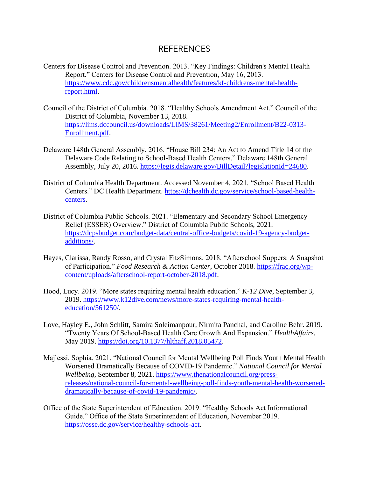#### REFERENCES

- Centers for Disease Control and Prevention. 2013. "Key Findings: Children's Mental Health Report." Centers for Disease Control and Prevention, May 16, 2013. [https://www.cdc.gov/childrensmentalhealth/features/kf-childrens-mental-health](https://www.cdc.gov/childrensmentalhealth/features/kf-childrens-mental-health-report.html)[report.html.](https://www.cdc.gov/childrensmentalhealth/features/kf-childrens-mental-health-report.html)
- Council of the District of Columbia. 2018. "Healthy Schools Amendment Act." Council of the District of Columbia, November 13, 2018. [https://lims.dccouncil.us/downloads/LIMS/38261/Meeting2/Enrollment/B22-0313-](https://lims.dccouncil.us/downloads/LIMS/38261/Meeting2/Enrollment/B22-0313-Enrollment.pdf) [Enrollment.pdf.](https://lims.dccouncil.us/downloads/LIMS/38261/Meeting2/Enrollment/B22-0313-Enrollment.pdf)
- Delaware 148th General Assembly. 2016. "House Bill 234: An Act to Amend Title 14 of the Delaware Code Relating to School-Based Health Centers." Delaware 148th General Assembly, July 20, 2016. [https://legis.delaware.gov/BillDetail?legislationId=24680.](https://legis.delaware.gov/BillDetail?legislationId=24680)
- District of Columbia Health Department. Accessed November 4, 2021. "School Based Health Centers." DC Health Department. [https://dchealth.dc.gov/service/school-based-health](https://dchealth.dc.gov/service/school-based-health-centers)[centers.](https://dchealth.dc.gov/service/school-based-health-centers)
- District of Columbia Public Schools. 2021. "Elementary and Secondary School Emergency Relief (ESSER) Overview." District of Columbia Public Schools, 2021. [https://dcpsbudget.com/budget-data/central-office-budgets/covid-19-agency-budget](https://dcpsbudget.com/budget-data/central-office-budgets/covid-19-agency-budget-additions/)[additions/.](https://dcpsbudget.com/budget-data/central-office-budgets/covid-19-agency-budget-additions/)
- Hayes, Clarissa, Randy Rosso, and Crystal FitzSimons. 2018. "Afterschool Suppers: A Snapshot of Participation." *Food Research & Action Center*, October 2018. [https://frac.org/wp](https://frac.org/wp-content/uploads/afterschool-report-october-2018.pdf)[content/uploads/afterschool-report-october-2018.pdf.](https://frac.org/wp-content/uploads/afterschool-report-october-2018.pdf)
- Hood, Lucy. 2019. "More states requiring mental health education." *K-12 Dive*, September 3, 2019. [https://www.k12dive.com/news/more-states-requiring-mental-health](https://www.k12dive.com/news/more-states-requiring-mental-health-education/561250/)[education/561250/.](https://www.k12dive.com/news/more-states-requiring-mental-health-education/561250/)
- Love, Hayley E., John Schlitt, Samira Soleimanpour, Nirmita Panchal, and Caroline Behr. 2019. "Twenty Years Of School-Based Health Care Growth And Expansion." *HealthAffairs*, May 2019. [https://doi.org/10.1377/hlthaff.2018.05472.](https://doi.org/10.1377/hlthaff.2018.05472)
- Majlessi, Sophia. 2021. "National Council for Mental Wellbeing Poll Finds Youth Mental Health Worsened Dramatically Because of COVID-19 Pandemic." *National Council for Mental Wellbeing*, September 8, 2021. [https://www.thenationalcouncil.org/press](https://www.thenationalcouncil.org/press-releases/national-council-for-mental-wellbeing-poll-finds-youth-mental-health-worsened-dramatically-because-of-covid-19-pandemic/)[releases/national-council-for-mental-wellbeing-poll-finds-youth-mental-health-worsened](https://www.thenationalcouncil.org/press-releases/national-council-for-mental-wellbeing-poll-finds-youth-mental-health-worsened-dramatically-because-of-covid-19-pandemic/)[dramatically-because-of-covid-19-pandemic/.](https://www.thenationalcouncil.org/press-releases/national-council-for-mental-wellbeing-poll-finds-youth-mental-health-worsened-dramatically-because-of-covid-19-pandemic/)
- Office of the State Superintendent of Education. 2019. "Healthy Schools Act Informational Guide." Office of the State Superintendent of Education, November 2019. [https://osse.dc.gov/service/healthy-schools-act.](https://osse.dc.gov/service/healthy-schools-act)